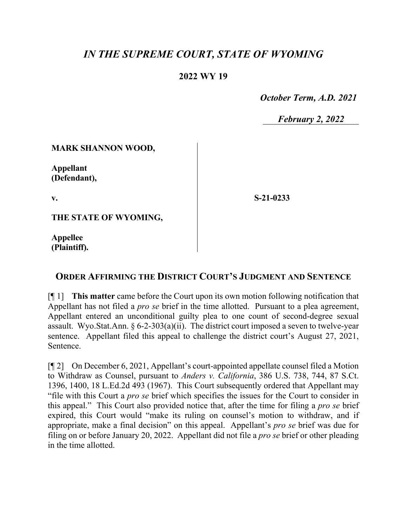# *IN THE SUPREME COURT, STATE OF WYOMING*

## **2022 WY 19**

 *October Term, A.D. 2021*

*February 2, 2022*

#### **MARK SHANNON WOOD,**

**Appellant (Defendant),**

**v.**

**S-21-0233**

**THE STATE OF WYOMING,**

**Appellee (Plaintiff).**

## **ORDER AFFIRMING THE DISTRICT COURT'S JUDGMENT AND SENTENCE**

[¶ 1] **This matter** came before the Court upon its own motion following notification that Appellant has not filed a *pro se* brief in the time allotted. Pursuant to a plea agreement, Appellant entered an unconditional guilty plea to one count of second-degree sexual assault. Wyo.Stat.Ann. § 6-2-303(a)(ii). The district court imposed a seven to twelve-year sentence. Appellant filed this appeal to challenge the district court's August 27, 2021, Sentence.

[¶ 2] On December 6, 2021, Appellant's court-appointed appellate counsel filed a Motion to Withdraw as Counsel, pursuant to *Anders v. California*, 386 U.S. 738, 744, 87 S.Ct. 1396, 1400, 18 L.Ed.2d 493 (1967). This Court subsequently ordered that Appellant may "file with this Court a *pro se* brief which specifies the issues for the Court to consider in this appeal." This Court also provided notice that, after the time for filing a *pro se* brief expired, this Court would "make its ruling on counsel's motion to withdraw, and if appropriate, make a final decision" on this appeal. Appellant's *pro se* brief was due for filing on or before January 20, 2022. Appellant did not file a *pro se* brief or other pleading in the time allotted.